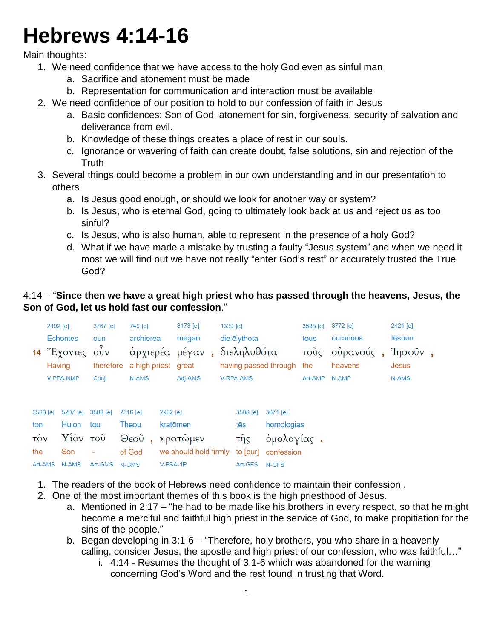## **Hebrews 4:14-16**

Main thoughts:

- 1. We need confidence that we have access to the holy God even as sinful man
	- a. Sacrifice and atonement must be made
	- b. Representation for communication and interaction must be available
- 2. We need confidence of our position to hold to our confession of faith in Jesus
	- a. Basic confidences: Son of God, atonement for sin, forgiveness, security of salvation and deliverance from evil.
	- b. Knowledge of these things creates a place of rest in our souls.
	- c. Ignorance or wavering of faith can create doubt, false solutions, sin and rejection of the **Truth**
- 3. Several things could become a problem in our own understanding and in our presentation to others
	- a. Is Jesus good enough, or should we look for another way or system?
	- b. Is Jesus, who is eternal God, going to ultimately look back at us and reject us as too sinful?
	- c. Is Jesus, who is also human, able to represent in the presence of a holy God?
	- d. What if we have made a mistake by trusting a faulty "Jesus system" and when we need it most we will find out we have not really "enter God's rest" or accurately trusted the True God?

## 4:14 – "**Since then we have a great high priest who has passed through the heavens, Jesus, the Son of God, let us hold fast our confession**."

|                        | 2192 [e] |                   | 3767 [e]      | 749 [e]             |          |                       | 3173 [e] |                                          | 1330 [e]         |                     | 3588 [e] | 3772 [e]                          | 2424 [e]     |        |  |
|------------------------|----------|-------------------|---------------|---------------------|----------|-----------------------|----------|------------------------------------------|------------------|---------------------|----------|-----------------------------------|--------------|--------|--|
|                        |          | <b>Echontes</b>   | oun           | archierea           |          | megan                 |          |                                          | dielēlythota     |                     | tous     | ouranous                          |              | lēsoun |  |
|                        | Having   | $14$ "Έχοντες οὖν | therefore     | a high priest great |          | άρχιερέα μέγαν,       |          | διεληλυθότα<br>having passed through the |                  |                     |          | τους ουρανούς, Ίησοῦν,<br>heavens | <b>Jesus</b> |        |  |
|                        |          | V-PPA-NMP         | Conj          | N-AMS               |          | Adj-AMS               |          |                                          | <b>V-RPA-AMS</b> |                     | Art-AMP  | N-AMP                             |              | N-AMS  |  |
| 3588 [e]               |          | 5207 [e]          | 3588 [e]      | 2316 [e]            | 2902 [e] |                       |          |                                          | 3588 [e]         | 3671 [e]            |          |                                   |              |        |  |
| ton                    |          | Huion             | tou           | Theou               |          | kratōmen              |          |                                          | tēs              | homologias          |          |                                   |              |        |  |
| $\overrightarrow{cov}$ |          | Υίὸν τοῦ          |               | Θεοῦ<br>à.          |          | κρατῶμεν              |          |                                          | τῆς              | όμολογίας.          |          |                                   |              |        |  |
| the                    |          | Son               | ۰             | of God              |          | we should hold firmly |          |                                          |                  | to [our] confession |          |                                   |              |        |  |
| Art-AMS                |          | <b>N-AMS</b>      | Art-GMS N-GMS |                     | V-PSA-1P |                       |          |                                          | Art-GFS N-GFS    |                     |          |                                   |              |        |  |

- 1. The readers of the book of Hebrews need confidence to maintain their confession .
- 2. One of the most important themes of this book is the high priesthood of Jesus.
	- a. Mentioned in 2:17 "he had to be made like his brothers in every respect, so that he might become a merciful and faithful high priest in the service of God, to make propitiation for the sins of the people."
	- b. Began developing in 3:1-6 "Therefore, holy brothers, you who share in a heavenly calling, consider Jesus, the apostle and high priest of our confession, who was faithful…"
		- i. 4:14 Resumes the thought of 3:1-6 which was abandoned for the warning concerning God's Word and the rest found in trusting that Word.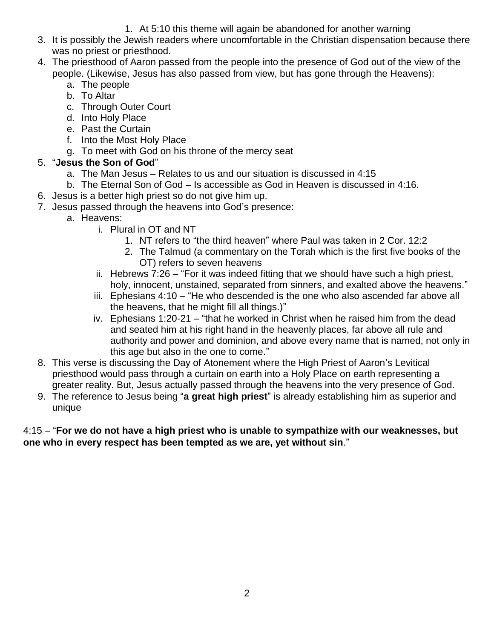- 1. At 5:10 this theme will again be abandoned for another warning
- 3. It is possibly the Jewish readers where uncomfortable in the Christian dispensation because there was no priest or priesthood.
- 4. The priesthood of Aaron passed from the people into the presence of God out of the view of the people. (Likewise, Jesus has also passed from view, but has gone through the Heavens):
	- a. The people
	- b. To Altar
	- c. Through Outer Court
	- d. Into Holy Place
	- e. Past the Curtain
	- f. Into the Most Holy Place
	- g. To meet with God on his throne of the mercy seat

## 5. "**Jesus the Son of God**"

- a. The Man Jesus Relates to us and our situation is discussed in 4:15
- b. The Eternal Son of God Is accessible as God in Heaven is discussed in 4:16.
- 6. Jesus is a better high priest so do not give him up.
- 7. Jesus passed through the heavens into God's presence:
	- a. Heavens:
		- i. Plural in OT and NT
			- 1. NT refers to "the third heaven" where Paul was taken in 2 Cor. 12:2
			- 2. The Talmud (a commentary on the Torah which is the first five books of the OT) refers to seven heavens
		- ii. Hebrews 7:26 "For it was indeed fitting that we should have such a high priest, holy, innocent, unstained, separated from sinners, and exalted above the heavens."
		- iii. Ephesians 4:10 "He who descended is the one who also ascended far above all the heavens, that he might fill all things.)"
		- iv. Ephesians 1:20-21 "that he worked in Christ when he raised him from the dead and seated him at his right hand in the heavenly places, far above all rule and authority and power and dominion, and above every name that is named, not only in this age but also in the one to come."
- 8. This verse is discussing the Day of Atonement where the High Priest of Aaron's Levitical priesthood would pass through a curtain on earth into a Holy Place on earth representing a greater reality. But, Jesus actually passed through the heavens into the very presence of God.
- 9. The reference to Jesus being "**a great high priest**" is already establishing him as superior and unique

4:15 – "**For we do not have a high priest who is unable to sympathize with our weaknesses, but one who in every respect has been tempted as we are, yet without sin**."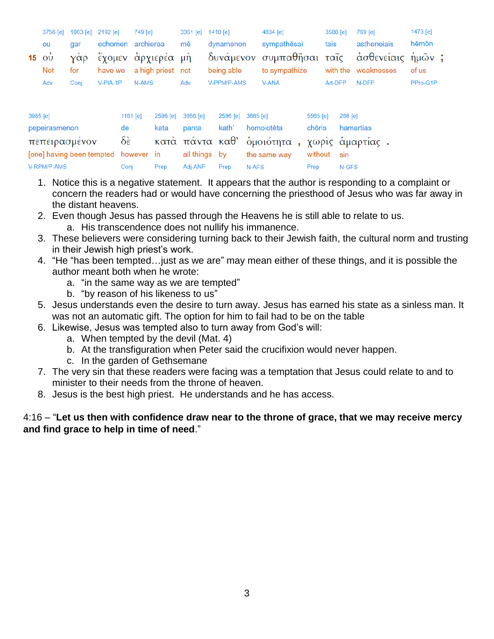|            |      | 3756 [e] 1063 [e] 2192 [e] | 749 [e]                   |     | 3361 [e] 1410 [e] | 4834 [e]                                                                | 3588 [e] 769 [e] |             | 1473 [e] |  |
|------------|------|----------------------------|---------------------------|-----|-------------------|-------------------------------------------------------------------------|------------------|-------------|----------|--|
| ou         | dar  |                            | echomen archierea<br>mē   |     | dynamenon         | sympathēsai                                                             | tais             | astheneiais | hēmōn    |  |
|            |      |                            |                           |     |                   | 15 οὐ γὰρ ἔχομεν ἀρχιερέα μὴ δυνάμενον συμπαθῆσαι ταῖς ἀσθενείαις ἡμῶν; |                  |             |          |  |
| <b>Not</b> | for  |                            | have we a high priest not |     |                   | being able to sympathize with the weaknesses                            |                  |             | of us    |  |
| Adv        | Coni | V-PIA-1P                   | N-AMS                     | Adv | V-PPM/P-AMS       | V-ANA                                                                   | Art-DFP          | N-DFP       | PPro-G1P |  |
|            |      |                            |                           |     |                   |                                                                         |                  |             |          |  |

| 3985 [e]                                                        | 1161 <b>[e]</b> |      | 2596 [e] 3956 [e] 2596 [e] 3665 [e] |      |                  | 5565 <b>[e]</b> | 266 [e]   |
|-----------------------------------------------------------------|-----------------|------|-------------------------------------|------|------------------|-----------------|-----------|
| pepeirasmenon                                                   | de              | kata | panta                               |      | kath' homoiotēta | chōris          | hamartias |
| πεπειρασμένον δε κατά πάντα καθ' όμοιότητα, χωρις άμαρτίας.     |                 |      |                                     |      |                  |                 |           |
| [one] having been tempted however in all things by the same way |                 |      |                                     |      |                  | without sin     |           |
| V-RPM/P-AMS                                                     | Conj            | Prep | Adj-ANP                             | Prep | N-AFS            | Prep            | N-GFS     |

- 1. Notice this is a negative statement. It appears that the author is responding to a complaint or concern the readers had or would have concerning the priesthood of Jesus who was far away in the distant heavens.
- 2. Even though Jesus has passed through the Heavens he is still able to relate to us. a. His transcendence does not nullify his immanence.
- 3. These believers were considering turning back to their Jewish faith, the cultural norm and trusting in their Jewish high priest's work.
- 4. "He "has been tempted…just as we are" may mean either of these things, and it is possible the author meant both when he wrote:
	- a. "in the same way as we are tempted"
	- b. "by reason of his likeness to us"
- 5. Jesus understands even the desire to turn away. Jesus has earned his state as a sinless man. It was not an automatic gift. The option for him to fail had to be on the table
- 6. Likewise, Jesus was tempted also to turn away from God's will:
	- a. When tempted by the devil (Mat. 4)
	- b. At the transfiguration when Peter said the crucifixion would never happen.
	- c. In the garden of Gethsemane
- 7. The very sin that these readers were facing was a temptation that Jesus could relate to and to minister to their needs from the throne of heaven.
- 8. Jesus is the best high priest. He understands and he has access.

## 4:16 – "**Let us then with confidence draw near to the throne of grace, that we may receive mercy and find grace to help in time of need**."